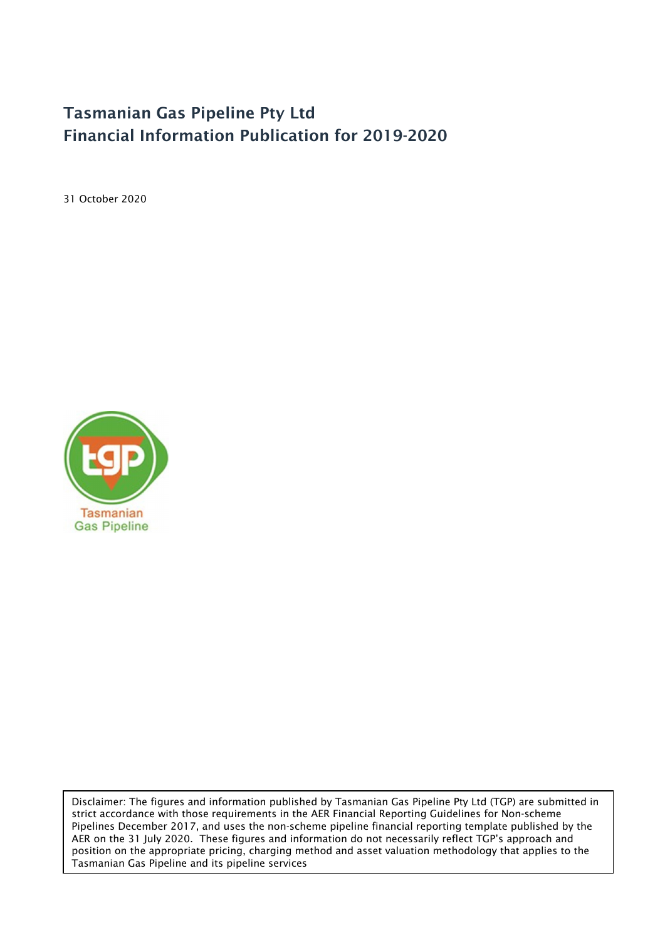# Tasmanian Gas Pipeline Pty Ltd Financial Information Publication for 2019-2020

31 October 2020



Disclaimer: The figures and information published by Tasmanian Gas Pipeline Pty Ltd (TGP) are submitted in strict accordance with those requirements in the AER Financial Reporting Guidelines for Non-scheme Pipelines December 2017, and uses the non-scheme pipeline financial reporting template published by the AER on the 31 July 2020. These figures and information do not necessarily reflect TGP's approach and position on the appropriate pricing, charging method and asset valuation methodology that applies to the Tasmanian Gas Pipeline and its pipeline services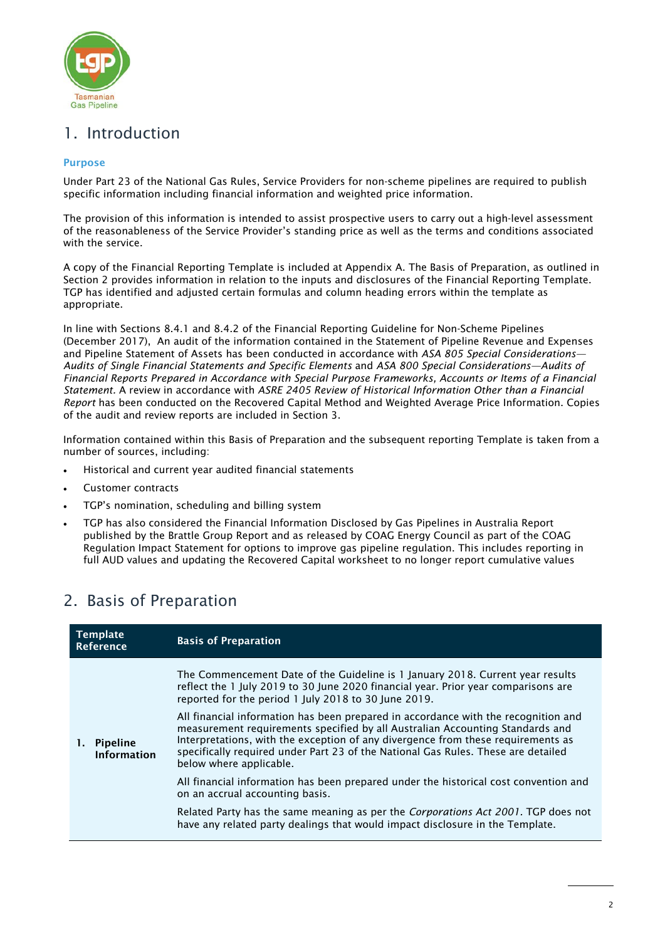

# 1. Introduction

### Purpose

Under Part 23 of the National Gas Rules, Service Providers for non-scheme pipelines are required to publish specific information including financial information and weighted price information.

The provision of this information is intended to assist prospective users to carry out a high-level assessment of the reasonableness of the Service Provider's standing price as well as the terms and conditions associated with the service.

A copy of the Financial Reporting Template is included at Appendix A. The Basis of Preparation, as outlined in Section 2 provides information in relation to the inputs and disclosures of the Financial Reporting Template. TGP has identified and adjusted certain formulas and column heading errors within the template as appropriate.

In line with Sections 8.4.1 and 8.4.2 of the Financial Reporting Guideline for Non-Scheme Pipelines (December 2017), An audit of the information contained in the Statement of Pipeline Revenue and Expenses and Pipeline Statement of Assets has been conducted in accordance with *ASA 805 Special Considerations— Audits of Single Financial Statements and Specific Elements* and *ASA 800 Special Considerations—Audits of Financial Reports Prepared in Accordance with Special Purpose Frameworks, Accounts or Items of a Financial Statement.* A review in accordance with *ASRE 2405 Review of Historical Information Other than a Financial Report* has been conducted on the Recovered Capital Method and Weighted Average Price Information. Copies of the audit and review reports are included in Section 3.

Information contained within this Basis of Preparation and the subsequent reporting Template is taken from a number of sources, including:

- Historical and current year audited financial statements
- Customer contracts
- TGP's nomination, scheduling and billing system
- TGP has also considered the Financial Information Disclosed by Gas Pipelines in Australia Report published by the Brattle Group Report and as released by COAG Energy Council as part of the COAG Regulation Impact Statement for options to improve gas pipeline regulation. This includes reporting in full AUD values and updating the Recovered Capital worksheet to no longer report cumulative values

# 2. Basis of Preparation

| <b>Template</b><br>Reference      | <b>Basis of Preparation</b>                                                                                                                                                                                                                                                                                                                                             |
|-----------------------------------|-------------------------------------------------------------------------------------------------------------------------------------------------------------------------------------------------------------------------------------------------------------------------------------------------------------------------------------------------------------------------|
| 1. Pipeline<br><b>Information</b> | The Commencement Date of the Guideline is 1 January 2018. Current year results<br>reflect the 1 July 2019 to 30 June 2020 financial year. Prior year comparisons are<br>reported for the period 1 July 2018 to 30 June 2019.                                                                                                                                            |
|                                   | All financial information has been prepared in accordance with the recognition and<br>measurement requirements specified by all Australian Accounting Standards and<br>Interpretations, with the exception of any divergence from these requirements as<br>specifically required under Part 23 of the National Gas Rules. These are detailed<br>below where applicable. |
|                                   | All financial information has been prepared under the historical cost convention and<br>on an accrual accounting basis.                                                                                                                                                                                                                                                 |
|                                   | Related Party has the same meaning as per the Corporations Act 2001. TGP does not<br>have any related party dealings that would impact disclosure in the Template.                                                                                                                                                                                                      |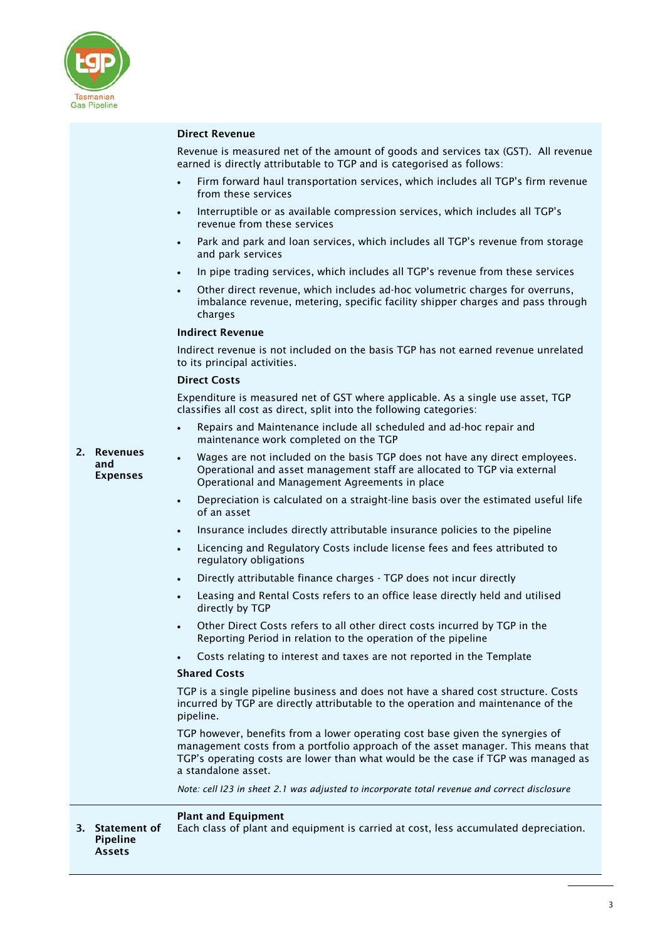

### Direct Revenue

Revenue is measured net of the amount of goods and services tax (GST). All revenue earned is directly attributable to TGP and is categorised as follows:

- Firm forward haul transportation services, which includes all TGP's firm revenue from these services
- Interruptible or as available compression services, which includes all TGP's revenue from these services
- Park and park and loan services, which includes all TGP's revenue from storage and park services
- In pipe trading services, which includes all TGP's revenue from these services
- Other direct revenue, which includes ad-hoc volumetric charges for overruns, imbalance revenue, metering, specific facility shipper charges and pass through charges

### Indirect Revenue

Indirect revenue is not included on the basis TGP has not earned revenue unrelated to its principal activities.

### Direct Costs

Expenditure is measured net of GST where applicable. As a single use asset, TGP classifies all cost as direct, split into the following categories:

 Repairs and Maintenance include all scheduled and ad-hoc repair and maintenance work completed on the TGP

2. Revenues and Expenses

- Wages are not included on the basis TGP does not have any direct employees. Operational and asset management staff are allocated to TGP via external Operational and Management Agreements in place
- Depreciation is calculated on a straight-line basis over the estimated useful life of an asset
- Insurance includes directly attributable insurance policies to the pipeline
- Licencing and Regulatory Costs include license fees and fees attributed to regulatory obligations
- Directly attributable finance charges TGP does not incur directly
- Leasing and Rental Costs refers to an office lease directly held and utilised directly by TGP
- Other Direct Costs refers to all other direct costs incurred by TGP in the Reporting Period in relation to the operation of the pipeline
- Costs relating to interest and taxes are not reported in the Template

### Shared Costs

TGP is a single pipeline business and does not have a shared cost structure. Costs incurred by TGP are directly attributable to the operation and maintenance of the pipeline.

TGP however, benefits from a lower operating cost base given the synergies of management costs from a portfolio approach of the asset manager. This means that TGP's operating costs are lower than what would be the case if TGP was managed as a standalone asset.

*Note: cell I23 in sheet 2.1 was adjusted to incorporate total revenue and correct disclosure*

### Plant and Equipment

3. Statement of Pipeline Assets Each class of plant and equipment is carried at cost, less accumulated depreciation.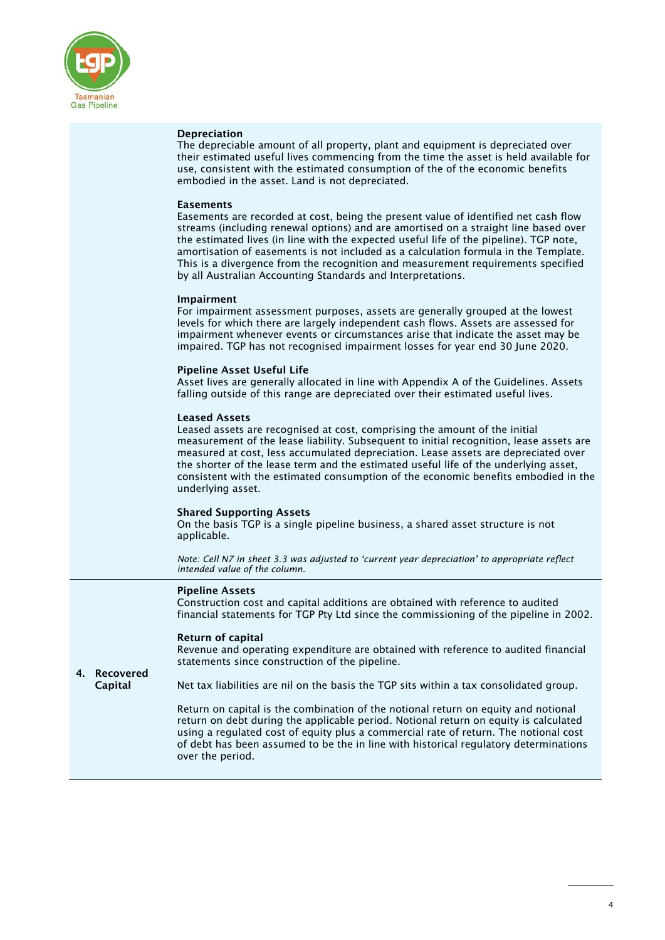

### Depreciation

The depreciable amount of all property, plant and equipment is depreciated over their estimated useful lives commencing from the time the asset is held available for use, consistent with the estimated consumption of the of the economic benefits embodied in the asset. Land is not depreciated.

### Easements

Easements are recorded at cost, being the present value of identified net cash flow streams (including renewal options) and are amortised on a straight line based over the estimated lives (in line with the expected useful life of the pipeline). TGP note, amortisation of easements is not included as a calculation formula in the Template. This is a divergence from the recognition and measurement requirements specified by all Australian Accounting Standards and Interpretations.

### Impairment

For impairment assessment purposes, assets are generally grouped at the lowest levels for which there are largely independent cash flows. Assets are assessed for impairment whenever events or circumstances arise that indicate the asset may be impaired. TGP has not recognised impairment losses for year end 30 June 2020.

### Pipeline Asset Useful Life

Asset lives are generally allocated in line with Appendix A of the Guidelines. Assets falling outside of this range are depreciated over their estimated useful lives.

#### Leased Assets

Leased assets are recognised at cost, comprising the amount of the initial measurement of the lease liability. Subsequent to initial recognition, lease assets are measured at cost, less accumulated depreciation. Lease assets are depreciated over the shorter of the lease term and the estimated useful life of the underlying asset, consistent with the estimated consumption of the economic benefits embodied in the underlying asset.

### Shared Supporting Assets

On the basis TGP is a single pipeline business, a shared asset structure is not applicable.

*Note: Cell N7 in sheet 3.3 was adjusted to 'current year depreciation' to appropriate reflect intended value of the column.*

### Pipeline Assets

Construction cost and capital additions are obtained with reference to audited financial statements for TGP Pty Ltd since the commissioning of the pipeline in 2002.

### Return of capital

Revenue and operating expenditure are obtained with reference to audited financial statements since construction of the pipeline.

4. Recovered Capital Net tax liabilities are nil on the basis the TGP sits within a tax consolidated group.

> Return on capital is the combination of the notional return on equity and notional return on debt during the applicable period. Notional return on equity is calculated using a regulated cost of equity plus a commercial rate of return. The notional cost of debt has been assumed to be the in line with historical regulatory determinations over the period.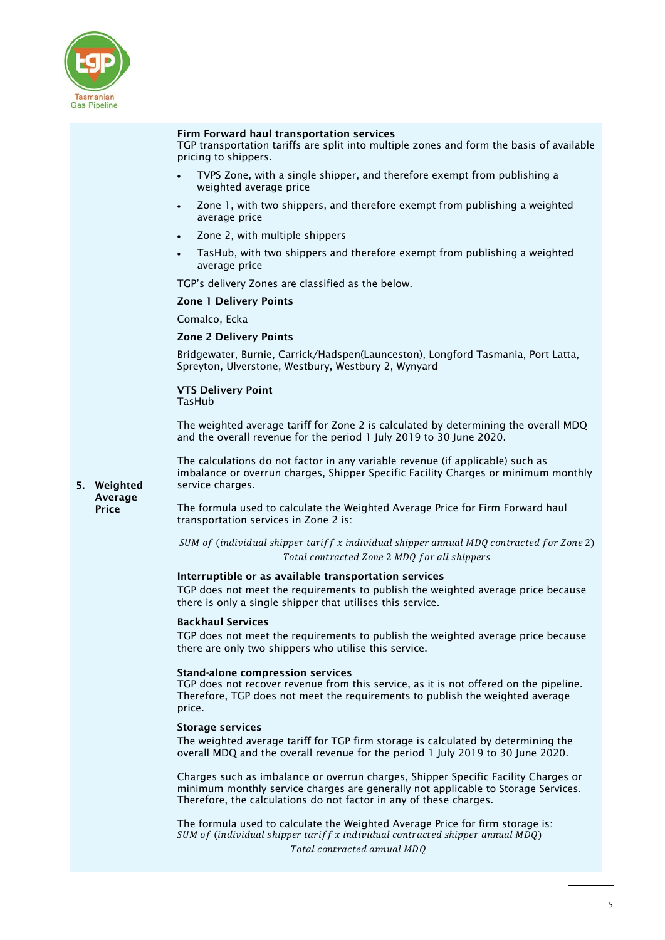

### Firm Forward haul transportation services

TGP transportation tariffs are split into multiple zones and form the basis of available pricing to shippers.

- TVPS Zone, with a single shipper, and therefore exempt from publishing a weighted average price
- Zone 1, with two shippers, and therefore exempt from publishing a weighted average price
- Zone 2, with multiple shippers
- TasHub, with two shippers and therefore exempt from publishing a weighted average price

TGP's delivery Zones are classified as the below.

### Zone 1 Delivery Points

Comalco, Ecka

### Zone 2 Delivery Points

Bridgewater, Burnie, Carrick/Hadspen(Launceston), Longford Tasmania, Port Latta, Spreyton, Ulverstone, Westbury, Westbury 2, Wynyard

#### VTS Delivery Point TasHub

The weighted average tariff for Zone 2 is calculated by determining the overall MDQ and the overall revenue for the period 1 July 2019 to 30 June 2020.

The calculations do not factor in any variable revenue (if applicable) such as imbalance or overrun charges, Shipper Specific Facility Charges or minimum monthly service charges.

5. Weighted Average Price

The formula used to calculate the Weighted Average Price for Firm Forward haul transportation services in Zone 2 is:

SUM of (individual shipper tariff x individual shipper annual MDQ contracted for Zone 2) Total contracted Zone 2 MDO for all shippers

### Interruptible or as available transportation services

TGP does not meet the requirements to publish the weighted average price because there is only a single shipper that utilises this service.

### 1BBackhaul Services

TGP does not meet the requirements to publish the weighted average price because there are only two shippers who utilise this service.

### Stand-alone compression services

TGP does not recover revenue from this service, as it is not offered on the pipeline. Therefore, TGP does not meet the requirements to publish the weighted average price.

### **Storage services**

The weighted average tariff for TGP firm storage is calculated by determining the overall MDQ and the overall revenue for the period 1 July 2019 to 30 June 2020.

Charges such as imbalance or overrun charges, Shipper Specific Facility Charges or minimum monthly service charges are generally not applicable to Storage Services. Therefore, the calculations do not factor in any of these charges.

The formula used to calculate the Weighted Average Price for firm storage is:  $SUM$  of (individual shipper tariff x individual contracted shipper annual  $MDQ$ )

Total contracted annual MDQ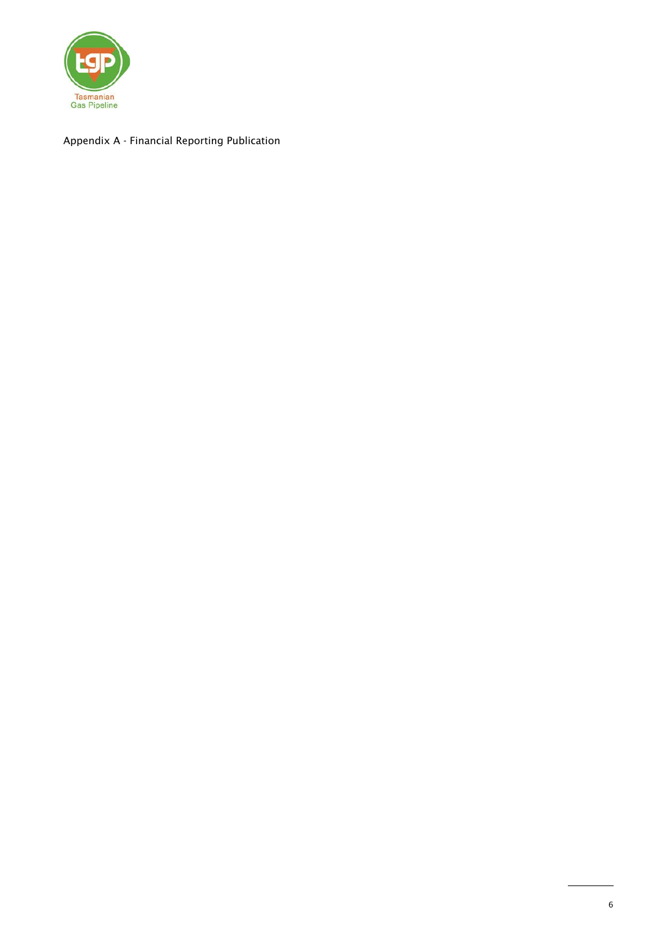

Appendix A - Financial Reporting Publication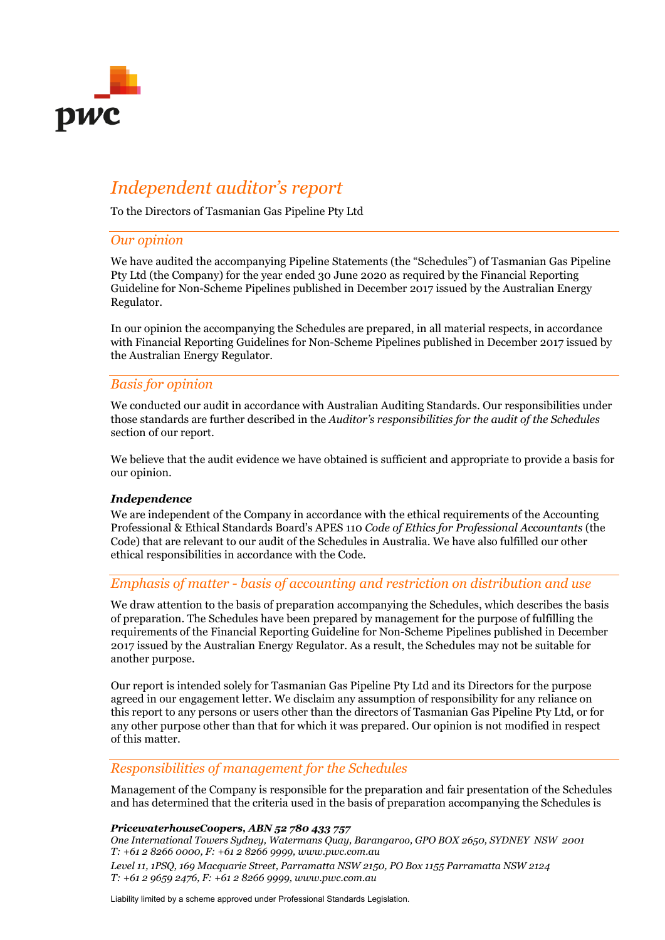

# *Independent auditor's report*

To the Directors of Tasmanian Gas Pipeline Pty Ltd

## *Our opinion*

We have audited the accompanying Pipeline Statements (the "Schedules") of Tasmanian Gas Pipeline Pty Ltd (the Company) for the year ended 30 June 2020 as required by the Financial Reporting Guideline for Non-Scheme Pipelines published in December 2017 issued by the Australian Energy Regulator.

In our opinion the accompanying the Schedules are prepared, in all material respects, in accordance with Financial Reporting Guidelines for Non-Scheme Pipelines published in December 2017 issued by the Australian Energy Regulator.

## *Basis for opinion*

We conducted our audit in accordance with Australian Auditing Standards. Our responsibilities under those standards are further described in the *Auditor's responsibilities for the audit of the Schedules* section of our report.

We believe that the audit evidence we have obtained is sufficient and appropriate to provide a basis for our opinion.

### *Independence*

We are independent of the Company in accordance with the ethical requirements of the Accounting Professional & Ethical Standards Board's APES 110 *Code of Ethics for Professional Accountants* (the Code) that are relevant to our audit of the Schedules in Australia. We have also fulfilled our other ethical responsibilities in accordance with the Code.

## *Emphasis of matter - basis of accounting and restriction on distribution and use*

We draw attention to the basis of preparation accompanying the Schedules, which describes the basis of preparation. The Schedules have been prepared by management for the purpose of fulfilling the requirements of the Financial Reporting Guideline for Non-Scheme Pipelines published in December 2017 issued by the Australian Energy Regulator. As a result, the Schedules may not be suitable for another purpose.

Our report is intended solely for Tasmanian Gas Pipeline Pty Ltd and its Directors for the purpose agreed in our engagement letter. We disclaim any assumption of responsibility for any reliance on this report to any persons or users other than the directors of Tasmanian Gas Pipeline Pty Ltd, or for any other purpose other than that for which it was prepared. Our opinion is not modified in respect of this matter.

## *Responsibilities of management for the Schedules*

Management of the Company is responsible for the preparation and fair presentation of the Schedules and has determined that the criteria used in the basis of preparation accompanying the Schedules is

### *PricewaterhouseCoopers, ABN 52 780 433 757*

*One International Towers Sydney, Watermans Quay, Barangaroo, GPO BOX 2650, SYDNEY NSW 2001 T: +61 2 8266 0000, F: +61 2 8266 9999, www.pwc.com.au*

*Level 11, 1PSQ, 169 Macquarie Street, Parramatta NSW 2150, PO Box 1155 Parramatta NSW 2124 T: +61 2 9659 2476, F: +61 2 8266 9999, www.pwc.com.au*

Liability limited by a scheme approved under Professional Standards Legislation.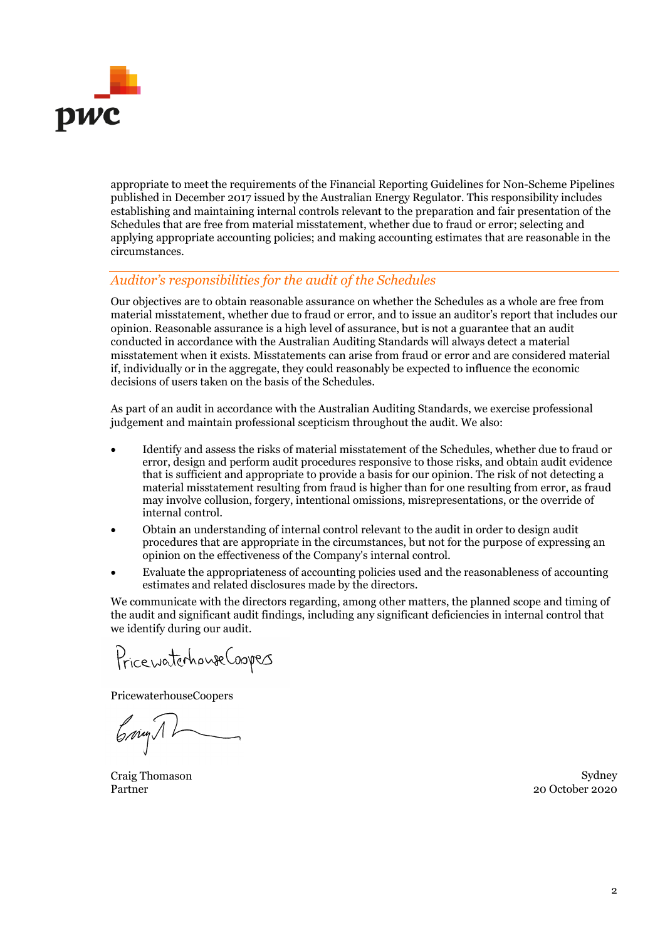

appropriate to meet the requirements of the Financial Reporting Guidelines for Non-Scheme Pipelines published in December 2017 issued by the Australian Energy Regulator. This responsibility includes establishing and maintaining internal controls relevant to the preparation and fair presentation of the Schedules that are free from material misstatement, whether due to fraud or error; selecting and applying appropriate accounting policies; and making accounting estimates that are reasonable in the circumstances.

## *Auditor's responsibilities for the audit of the Schedules*

Our objectives are to obtain reasonable assurance on whether the Schedules as a whole are free from material misstatement, whether due to fraud or error, and to issue an auditor's report that includes our opinion. Reasonable assurance is a high level of assurance, but is not a guarantee that an audit conducted in accordance with the Australian Auditing Standards will always detect a material misstatement when it exists. Misstatements can arise from fraud or error and are considered material if, individually or in the aggregate, they could reasonably be expected to influence the economic decisions of users taken on the basis of the Schedules.

As part of an audit in accordance with the Australian Auditing Standards, we exercise professional judgement and maintain professional scepticism throughout the audit. We also:

- Identify and assess the risks of material misstatement of the Schedules, whether due to fraud or error, design and perform audit procedures responsive to those risks, and obtain audit evidence that is sufficient and appropriate to provide a basis for our opinion. The risk of not detecting a material misstatement resulting from fraud is higher than for one resulting from error, as fraud may involve collusion, forgery, intentional omissions, misrepresentations, or the override of internal control.
- Obtain an understanding of internal control relevant to the audit in order to design audit procedures that are appropriate in the circumstances, but not for the purpose of expressing an opinion on the effectiveness of the Company's internal control.
- Evaluate the appropriateness of accounting policies used and the reasonableness of accounting estimates and related disclosures made by the directors.

We communicate with the directors regarding, among other matters, the planned scope and timing of the audit and significant audit findings, including any significant deficiencies in internal control that we identify during our audit.

Pricewaterhouse Coopes

PricewaterhouseCoopers

Crim 1

Craig Thomason Partner

Sydney 20 October 2020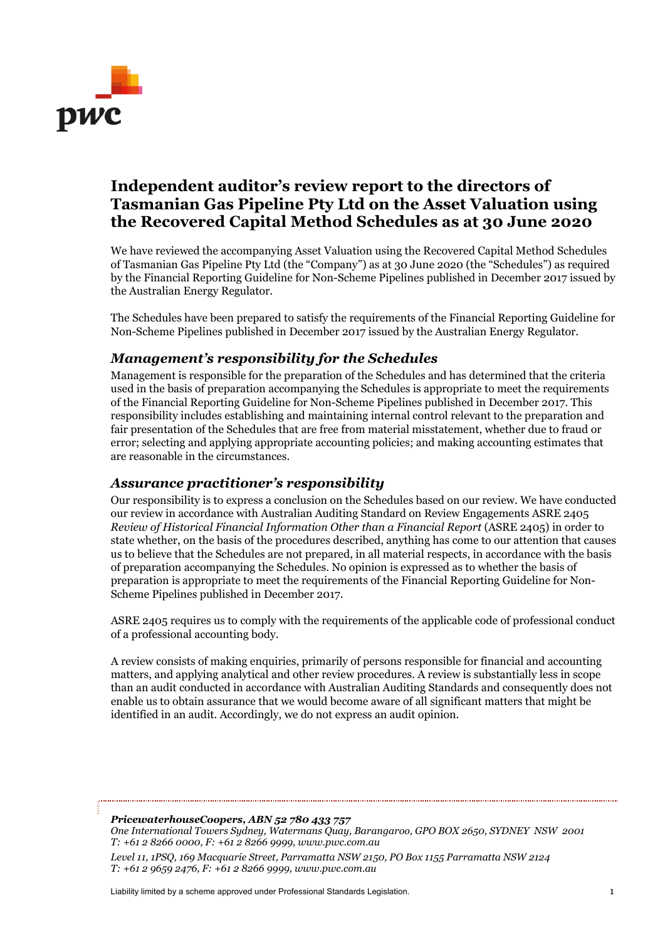

# **Independent auditor's review report to the directors of Tasmanian Gas Pipeline Pty Ltd on the Asset Valuation using the Recovered Capital Method Schedules as at 30 June 2020**

We have reviewed the accompanying Asset Valuation using the Recovered Capital Method Schedules of Tasmanian Gas Pipeline Pty Ltd (the "Company") as at 30 June 2020 (the "Schedules") as required by the Financial Reporting Guideline for Non-Scheme Pipelines published in December 2017 issued by the Australian Energy Regulator.

The Schedules have been prepared to satisfy the requirements of the Financial Reporting Guideline for Non-Scheme Pipelines published in December 2017 issued by the Australian Energy Regulator.

## *Management's responsibility for the Schedules*

Management is responsible for the preparation of the Schedules and has determined that the criteria used in the basis of preparation accompanying the Schedules is appropriate to meet the requirements of the Financial Reporting Guideline for Non-Scheme Pipelines published in December 2017. This responsibility includes establishing and maintaining internal control relevant to the preparation and fair presentation of the Schedules that are free from material misstatement, whether due to fraud or error; selecting and applying appropriate accounting policies; and making accounting estimates that are reasonable in the circumstances.

## *Assurance practitioner's responsibility*

Our responsibility is to express a conclusion on the Schedules based on our review. We have conducted our review in accordance with Australian Auditing Standard on Review Engagements ASRE 2405 *Review of Historical Financial Information Other than a Financial Report* (ASRE 2405) in order to state whether, on the basis of the procedures described, anything has come to our attention that causes us to believe that the Schedules are not prepared, in all material respects, in accordance with the basis of preparation accompanying the Schedules. No opinion is expressed as to whether the basis of preparation is appropriate to meet the requirements of the Financial Reporting Guideline for Non-Scheme Pipelines published in December 2017.

ASRE 2405 requires us to comply with the requirements of the applicable code of professional conduct of a professional accounting body.

A review consists of making enquiries, primarily of persons responsible for financial and accounting matters, and applying analytical and other review procedures. A review is substantially less in scope than an audit conducted in accordance with Australian Auditing Standards and consequently does not enable us to obtain assurance that we would become aware of all significant matters that might be identified in an audit. Accordingly, we do not express an audit opinion.

### *PricewaterhouseCoopers, ABN 52 780 433 757*

*One International Towers Sydney, Watermans Quay, Barangaroo, GPO BOX 2650, SYDNEY NSW 2001 T: +61 2 8266 0000, F: +61 2 8266 9999, www.pwc.com.au*

*Level 11, 1PSQ, 169 Macquarie Street, Parramatta NSW 2150, PO Box 1155 Parramatta NSW 2124 T: +61 2 9659 2476, F: +61 2 8266 9999, www.pwc.com.au*

Liability limited by a scheme approved under Professional Standards Legislation. 1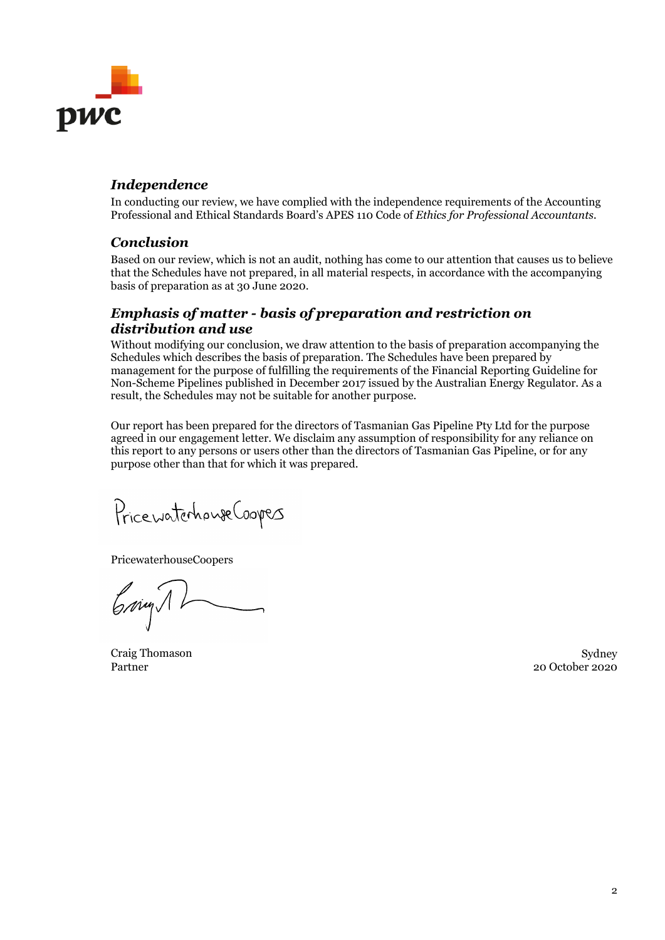

## *Independence*

In conducting our review, we have complied with the independence requirements of the Accounting Professional and Ethical Standards Board's APES 110 Code of *Ethics for Professional Accountants.*

## *Conclusion*

Based on our review, which is not an audit, nothing has come to our attention that causes us to believe that the Schedules have not prepared, in all material respects, in accordance with the accompanying basis of preparation as at 30 June 2020.

## *Emphasis of matter - basis of preparation and restriction on distribution and use*

Without modifying our conclusion, we draw attention to the basis of preparation accompanying the Schedules which describes the basis of preparation. The Schedules have been prepared by management for the purpose of fulfilling the requirements of the Financial Reporting Guideline for Non-Scheme Pipelines published in December 2017 issued by the Australian Energy Regulator. As a result, the Schedules may not be suitable for another purpose.

Our report has been prepared for the directors of Tasmanian Gas Pipeline Pty Ltd for the purpose agreed in our engagement letter. We disclaim any assumption of responsibility for any reliance on this report to any persons or users other than the directors of Tasmanian Gas Pipeline, or for any purpose other than that for which it was prepared.

Pricewaterhouse Coopes

PricewaterhouseCoopers

Grim

Craig Thomason Partner

Sydney 20 October 2020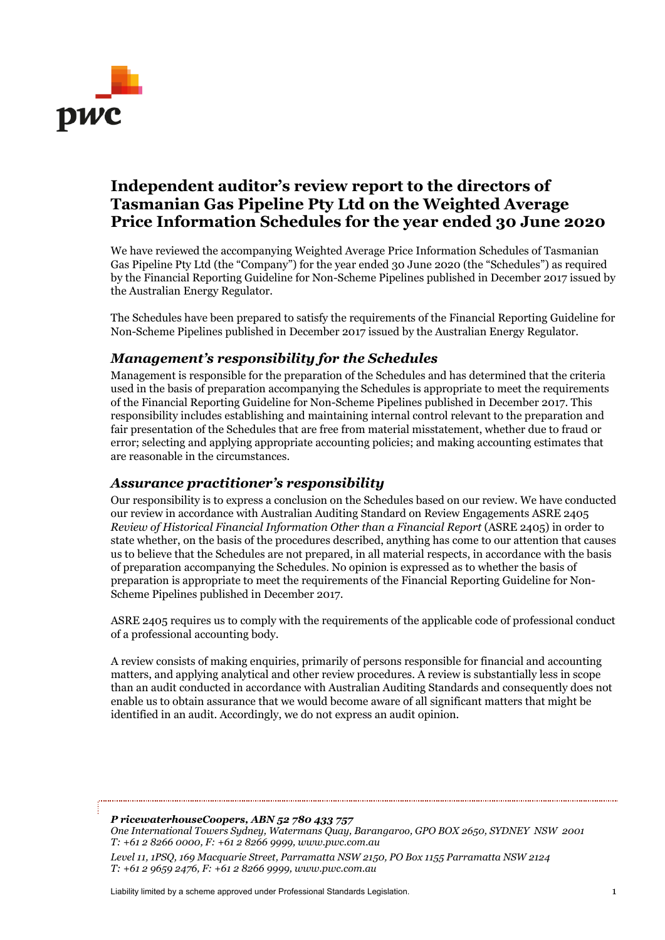

# **Independent auditor's review report to the directors of Tasmanian Gas Pipeline Pty Ltd on the Weighted Average Price Information Schedules for the year ended 30 June 2020**

We have reviewed the accompanying Weighted Average Price Information Schedules of Tasmanian Gas Pipeline Pty Ltd (the "Company") for the year ended 30 June 2020 (the "Schedules") as required by the Financial Reporting Guideline for Non-Scheme Pipelines published in December 2017 issued by the Australian Energy Regulator.

The Schedules have been prepared to satisfy the requirements of the Financial Reporting Guideline for Non-Scheme Pipelines published in December 2017 issued by the Australian Energy Regulator.

## *Management's responsibility for the Schedules*

Management is responsible for the preparation of the Schedules and has determined that the criteria used in the basis of preparation accompanying the Schedules is appropriate to meet the requirements of the Financial Reporting Guideline for Non-Scheme Pipelines published in December 2017. This responsibility includes establishing and maintaining internal control relevant to the preparation and fair presentation of the Schedules that are free from material misstatement, whether due to fraud or error; selecting and applying appropriate accounting policies; and making accounting estimates that are reasonable in the circumstances.

## *Assurance practitioner's responsibility*

Our responsibility is to express a conclusion on the Schedules based on our review. We have conducted our review in accordance with Australian Auditing Standard on Review Engagements ASRE 2405 *Review of Historical Financial Information Other than a Financial Report* (ASRE 2405) in order to state whether, on the basis of the procedures described, anything has come to our attention that causes us to believe that the Schedules are not prepared, in all material respects, in accordance with the basis of preparation accompanying the Schedules. No opinion is expressed as to whether the basis of preparation is appropriate to meet the requirements of the Financial Reporting Guideline for Non-Scheme Pipelines published in December 2017.

ASRE 2405 requires us to comply with the requirements of the applicable code of professional conduct of a professional accounting body.

A review consists of making enquiries, primarily of persons responsible for financial and accounting matters, and applying analytical and other review procedures. A review is substantially less in scope than an audit conducted in accordance with Australian Auditing Standards and consequently does not enable us to obtain assurance that we would become aware of all significant matters that might be identified in an audit. Accordingly, we do not express an audit opinion.

### *P ricewaterhouseCoopers, ABN 52 780 433 757*

*One International Towers Sydney, Watermans Quay, Barangaroo, GPO BOX 2650, SYDNEY NSW 2001 T: +61 2 8266 0000, F: +61 2 8266 9999, www.pwc.com.au*

*Level 11, 1PSQ, 169 Macquarie Street, Parramatta NSW 2150, PO Box 1155 Parramatta NSW 2124 T: +61 2 9659 2476, F: +61 2 8266 9999, www.pwc.com.au*

Liability limited by a scheme approved under Professional Standards Legislation. 1